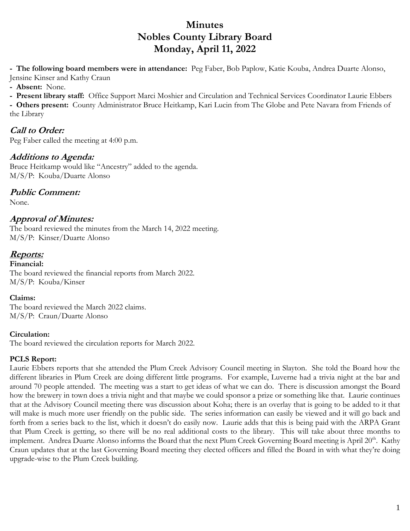# **Minutes Nobles County Library Board Monday, April 11, 2022**

**- The following board members were in attendance:** Peg Faber, Bob Paplow, Katie Kouba, Andrea Duarte Alonso, Jensine Kinser and Kathy Craun

**- Absent:** None.

**- Present library staff:** Office Support Marci Moshier and Circulation and Technical Services Coordinator Laurie Ebbers

**- Others present:** County Administrator Bruce Heitkamp, Kari Lucin from The Globe and Pete Navara from Friends of the Library

# **Call to Order:**

Peg Faber called the meeting at 4:00 p.m.

### **Additions to Agenda:**

Bruce Heitkamp would like "Ancestry" added to the agenda. M/S/P: Kouba/Duarte Alonso

# **Public Comment:**

None.

# **Approval of Minutes:**

The board reviewed the minutes from the March 14, 2022 meeting. M/S/P: Kinser/Duarte Alonso

# **Reports:**

**Financial:**  The board reviewed the financial reports from March 2022. M/S/P: Kouba/Kinser

### **Claims:**

The board reviewed the March 2022 claims. M/S/P: Craun/Duarte Alonso

### **Circulation:**

The board reviewed the circulation reports for March 2022.

### **PCLS Report:**

Laurie Ebbers reports that she attended the Plum Creek Advisory Council meeting in Slayton. She told the Board how the different libraries in Plum Creek are doing different little programs. For example, Luverne had a trivia night at the bar and around 70 people attended. The meeting was a start to get ideas of what we can do. There is discussion amongst the Board how the brewery in town does a trivia night and that maybe we could sponsor a prize or something like that. Laurie continues that at the Advisory Council meeting there was discussion about Koha; there is an overlay that is going to be added to it that will make is much more user friendly on the public side. The series information can easily be viewed and it will go back and forth from a series back to the list, which it doesn't do easily now. Laurie adds that this is being paid with the ARPA Grant that Plum Creek is getting, so there will be no real additional costs to the library. This will take about three months to implement. Andrea Duarte Alonso informs the Board that the next Plum Creek Governing Board meeting is April 20<sup>th</sup>. Kathy Craun updates that at the last Governing Board meeting they elected officers and filled the Board in with what they're doing upgrade-wise to the Plum Creek building.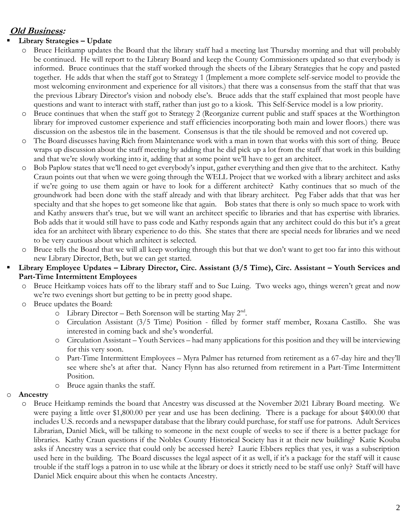# **Old Business:**

### **Library Strategies – Update**

- o Bruce Heitkamp updates the Board that the library staff had a meeting last Thursday morning and that will probably be continued. He will report to the Library Board and keep the County Commissioners updated so that everybody is informed. Bruce continues that the staff worked through the sheets of the Library Strategies that he copy and pasted together. He adds that when the staff got to Strategy 1 (Implement a more complete self-service model to provide the most welcoming environment and experience for all visitors.) that there was a consensus from the staff that that was the previous Library Director's vision and nobody else's. Bruce adds that the staff explained that most people have questions and want to interact with staff, rather than just go to a kiosk. This Self-Service model is a low priority.
- o Bruce continues that when the staff got to Strategy 2 (Reorganize current public and staff spaces at the Worthington library for improved customer experience and staff efficiencies incorporating both main and lower floors.) there was discussion on the asbestos tile in the basement. Consensus is that the tile should be removed and not covered up.
- o The Board discusses having Rich from Maintenance work with a man in town that works with this sort of thing. Bruce wraps up discussion about the staff meeting by adding that he did pick up a lot from the staff that work in this building and that we're slowly working into it, adding that at some point we'll have to get an architect.
- o Bob Paplow states that we'll need to get everybody's input, gather everything and then give that to the architect. Kathy Craun points out that when we were going through the WELL Project that we worked with a library architect and asks if we're going to use them again or have to look for a different architect? Kathy continues that so much of the groundwork had been done with the staff already and with that library architect. Peg Faber adds that that was her specialty and that she hopes to get someone like that again. Bob states that there is only so much space to work with and Kathy answers that's true, but we will want an architect specific to libraries and that has expertise with libraries. Bob adds that it would still have to pass code and Kathy responds again that any architect could do this but it's a great idea for an architect with library experience to do this. She states that there are special needs for libraries and we need to be very cautious about which architect is selected.
- o Bruce tells the Board that we will all keep working through this but that we don't want to get too far into this without new Library Director, Beth, but we can get started.
- **Library Employee Updates – Library Director, Circ. Assistant (3/5 Time), Circ. Assistant – Youth Services and Part-Time Intermittent Employees**
	- o Bruce Heitkamp voices hats off to the library staff and to Sue Luing. Two weeks ago, things weren't great and now we're two evenings short but getting to be in pretty good shape.
	- o Bruce updates the Board:
		- o Library Director Beth Sorenson will be starting May 2<sup>nd</sup>.
		- o Circulation Assistant (3/5 Time) Position filled by former staff member, Roxana Castillo. She was interested in coming back and she's wonderful.
		- o Circulation Assistant Youth Services had many applications for this position and they will be interviewing for this very soon.
		- o Part-Time Intermittent Employees Myra Palmer has returned from retirement as a 67-day hire and they'll see where she's at after that. Nancy Flynn has also returned from retirement in a Part-Time Intermittent Position.
		- o Bruce again thanks the staff.

#### o **Ancestry**

o Bruce Heitkamp reminds the board that Ancestry was discussed at the November 2021 Library Board meeting. We were paying a little over \$1,800.00 per year and use has been declining. There is a package for about \$400.00 that includes U.S. records and a newspaper database that the library could purchase, for staff use for patrons. Adult Services Librarian, Daniel Mick, will be talking to someone in the next couple of weeks to see if there is a better package for libraries. Kathy Craun questions if the Nobles County Historical Society has it at their new building? Katie Kouba asks if Ancestry was a service that could only be accessed here? Laurie Ebbers replies that yes, it was a subscription used here in the building. The Board discusses the legal aspect of it as well, if it's a package for the staff will it cause trouble if the staff logs a patron in to use while at the library or does it strictly need to be staff use only? Staff will have Daniel Mick enquire about this when he contacts Ancestry.